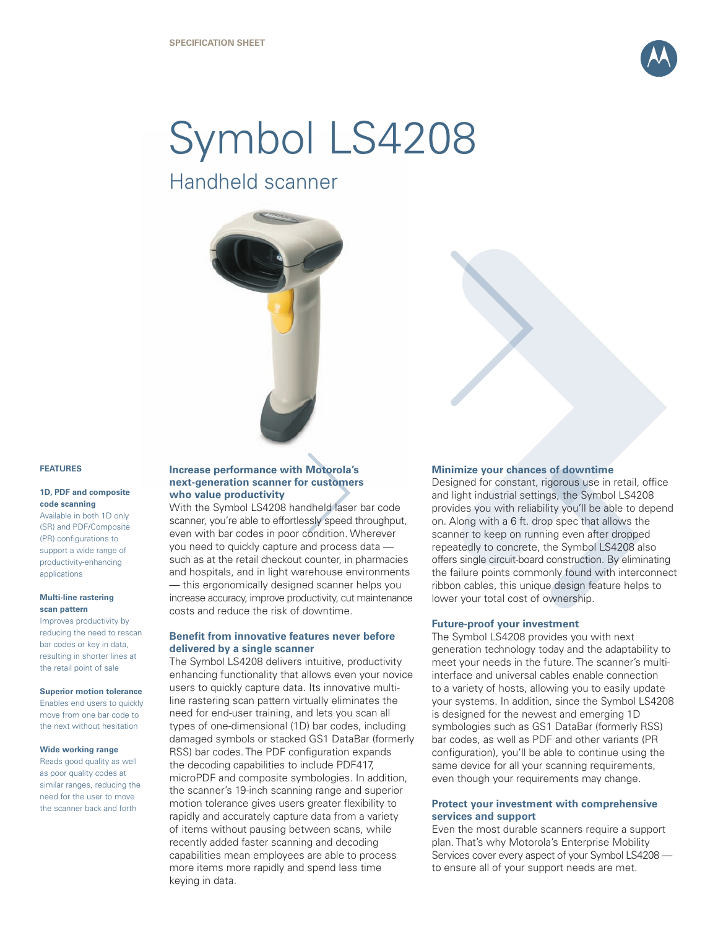

# Symbol LS4208

Handheld scanner



#### **FEATURES**

#### **1D, PDF and composite code scanning**

Available in both 1D only (SR) and PDF/Composite (PR) configurations to support a wide range of productivity-enhancing applications

#### **Multi-line rastering scan pattern**

Improves productivity by reducing the need to rescan bar codes or key in data, resulting in shorter lines at the retail point of sale

#### **Superior motion tolerance**

Enables end users to quickly move from one bar code to the next without hesitation

#### **Wide working range**

Reads good quality as well as poor quality codes at similar ranges, reducing the need for the user to move the scanner back and forth

# **Increase performance with Motorola's next-generation scanner for customers who value productivity**

With the Symbol LS4208 handheld laser bar code scanner, you're able to effortlessly speed throughput, even with bar codes in poor condition. Wherever you need to quickly capture and process data such as at the retail checkout counter, in pharmacies and hospitals, and in light warehouse environments — this ergonomically designed scanner helps you increase accuracy, improve productivity, cut maintenance costs and reduce the risk of downtime.

### **Benefit from innovative features never before delivered by a single scanner**

The Symbol LS4208 delivers intuitive, productivity enhancing functionality that allows even your novice users to quickly capture data. Its innovative multiline rastering scan pattern virtually eliminates the need for end-user training, and lets you scan all types of one-dimensional (1D) bar codes, including damaged symbols or stacked GS1 DataBar (formerly RSS) bar codes. The PDF configuration expands the decoding capabilities to include PDF417, microPDF and composite symbologies. In addition, the scanner's 19-inch scanning range and superior motion tolerance gives users greater flexibility to rapidly and accurately capture data from a variety of items without pausing between scans, while recently added faster scanning and decoding capabilities mean employees are able to process more items more rapidly and spend less time keying in data.

#### **Minimize your chances of downtime**

Designed for constant, rigorous use in retail, office and light industrial settings, the Symbol LS4208 provides you with reliability you'll be able to depend on. Along with a 6 ft. drop spec that allows the scanner to keep on running even after dropped repeatedly to concrete, the Symbol LS4208 also offers single circuit-board construction. By eliminating the failure points commonly found with interconnect ribbon cables, this unique design feature helps to lower your total cost of ownership.

#### **Future-proof your investment**

The Symbol LS4208 provides you with next generation technology today and the adaptability to meet your needs in the future. The scanner's multiinterface and universal cables enable connection to a variety of hosts, allowing you to easily update your systems. In addition, since the Symbol LS4208 is designed for the newest and emerging 1D symbologies such as GS1 DataBar (formerly RSS) bar codes, as well as PDF and other variants (PR configuration), you'll be able to continue using the same device for all your scanning requirements, even though your requirements may change.

## **Protect your investment with comprehensive services and support**

Even the most durable scanners require a support plan. That's why Motorola's Enterprise Mobility Services cover every aspect of your Symbol LS4208 to ensure all of your support needs are met.